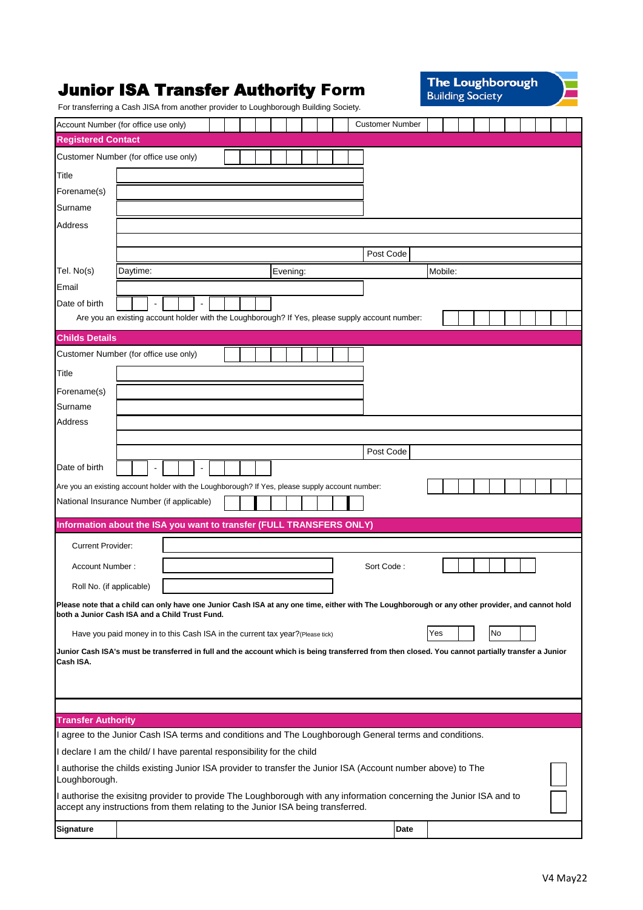|                           | <b>Junior ISA Transfer Authority Form</b><br>For transferring a Cash JISA from another provider to Loughborough Building Society.                                                                      |  |  |  |          |  |  |                        |      | <b>The Loughborough</b><br><b>Building Society</b> |  |  |    |  |  |  |  |
|---------------------------|--------------------------------------------------------------------------------------------------------------------------------------------------------------------------------------------------------|--|--|--|----------|--|--|------------------------|------|----------------------------------------------------|--|--|----|--|--|--|--|
|                           | Account Number (for office use only)                                                                                                                                                                   |  |  |  |          |  |  | <b>Customer Number</b> |      |                                                    |  |  |    |  |  |  |  |
| <b>Registered Contact</b> |                                                                                                                                                                                                        |  |  |  |          |  |  |                        |      |                                                    |  |  |    |  |  |  |  |
|                           | Customer Number (for office use only)                                                                                                                                                                  |  |  |  |          |  |  |                        |      |                                                    |  |  |    |  |  |  |  |
| Title                     |                                                                                                                                                                                                        |  |  |  |          |  |  |                        |      |                                                    |  |  |    |  |  |  |  |
| Forename(s)               |                                                                                                                                                                                                        |  |  |  |          |  |  |                        |      |                                                    |  |  |    |  |  |  |  |
| Surname                   |                                                                                                                                                                                                        |  |  |  |          |  |  |                        |      |                                                    |  |  |    |  |  |  |  |
| Address                   |                                                                                                                                                                                                        |  |  |  |          |  |  |                        |      |                                                    |  |  |    |  |  |  |  |
|                           |                                                                                                                                                                                                        |  |  |  |          |  |  |                        |      |                                                    |  |  |    |  |  |  |  |
|                           |                                                                                                                                                                                                        |  |  |  |          |  |  | Post Code              |      |                                                    |  |  |    |  |  |  |  |
| Tel. No(s)                | Daytime:                                                                                                                                                                                               |  |  |  | Evening: |  |  |                        |      | Mobile:                                            |  |  |    |  |  |  |  |
| Email                     |                                                                                                                                                                                                        |  |  |  |          |  |  |                        |      |                                                    |  |  |    |  |  |  |  |
| Date of birth             |                                                                                                                                                                                                        |  |  |  |          |  |  |                        |      |                                                    |  |  |    |  |  |  |  |
|                           | Are you an existing account holder with the Loughborough? If Yes, please supply account number:                                                                                                        |  |  |  |          |  |  |                        |      |                                                    |  |  |    |  |  |  |  |
| <b>Childs Details</b>     |                                                                                                                                                                                                        |  |  |  |          |  |  |                        |      |                                                    |  |  |    |  |  |  |  |
|                           | Customer Number (for office use only)                                                                                                                                                                  |  |  |  |          |  |  |                        |      |                                                    |  |  |    |  |  |  |  |
| Title                     |                                                                                                                                                                                                        |  |  |  |          |  |  |                        |      |                                                    |  |  |    |  |  |  |  |
| Forename(s)               |                                                                                                                                                                                                        |  |  |  |          |  |  |                        |      |                                                    |  |  |    |  |  |  |  |
| Surname                   |                                                                                                                                                                                                        |  |  |  |          |  |  |                        |      |                                                    |  |  |    |  |  |  |  |
| Address                   |                                                                                                                                                                                                        |  |  |  |          |  |  |                        |      |                                                    |  |  |    |  |  |  |  |
|                           |                                                                                                                                                                                                        |  |  |  |          |  |  | Post Code              |      |                                                    |  |  |    |  |  |  |  |
| Date of birth             |                                                                                                                                                                                                        |  |  |  |          |  |  |                        |      |                                                    |  |  |    |  |  |  |  |
|                           |                                                                                                                                                                                                        |  |  |  |          |  |  |                        |      |                                                    |  |  |    |  |  |  |  |
|                           | Are you an existing account holder with the Loughborough? If Yes, please supply account number:<br>National Insurance Number (if applicable)                                                           |  |  |  |          |  |  |                        |      |                                                    |  |  |    |  |  |  |  |
|                           |                                                                                                                                                                                                        |  |  |  |          |  |  |                        |      |                                                    |  |  |    |  |  |  |  |
|                           | Information about the ISA you want to transfer (FULL TRANSFERS ONLY)                                                                                                                                   |  |  |  |          |  |  |                        |      |                                                    |  |  |    |  |  |  |  |
| <b>Current Provider:</b>  |                                                                                                                                                                                                        |  |  |  |          |  |  |                        |      |                                                    |  |  |    |  |  |  |  |
| Account Number:           |                                                                                                                                                                                                        |  |  |  |          |  |  | Sort Code:             |      |                                                    |  |  |    |  |  |  |  |
| Roll No. (if applicable)  |                                                                                                                                                                                                        |  |  |  |          |  |  |                        |      |                                                    |  |  |    |  |  |  |  |
|                           | Please note that a child can only have one Junior Cash ISA at any one time, either with The Loughborough or any other provider, and cannot hold                                                        |  |  |  |          |  |  |                        |      |                                                    |  |  |    |  |  |  |  |
|                           | both a Junior Cash ISA and a Child Trust Fund.                                                                                                                                                         |  |  |  |          |  |  |                        |      |                                                    |  |  |    |  |  |  |  |
|                           | Have you paid money in to this Cash ISA in the current tax year? (Please tick)                                                                                                                         |  |  |  |          |  |  |                        |      | Yes                                                |  |  | No |  |  |  |  |
|                           | Junior Cash ISA's must be transferred in full and the account which is being transferred from then closed. You cannot partially transfer a Junior                                                      |  |  |  |          |  |  |                        |      |                                                    |  |  |    |  |  |  |  |
| Cash ISA.                 |                                                                                                                                                                                                        |  |  |  |          |  |  |                        |      |                                                    |  |  |    |  |  |  |  |
|                           |                                                                                                                                                                                                        |  |  |  |          |  |  |                        |      |                                                    |  |  |    |  |  |  |  |
|                           |                                                                                                                                                                                                        |  |  |  |          |  |  |                        |      |                                                    |  |  |    |  |  |  |  |
| <b>Transfer Authority</b> |                                                                                                                                                                                                        |  |  |  |          |  |  |                        |      |                                                    |  |  |    |  |  |  |  |
|                           | I agree to the Junior Cash ISA terms and conditions and The Loughborough General terms and conditions.                                                                                                 |  |  |  |          |  |  |                        |      |                                                    |  |  |    |  |  |  |  |
|                           | I declare I am the child/ I have parental responsibility for the child                                                                                                                                 |  |  |  |          |  |  |                        |      |                                                    |  |  |    |  |  |  |  |
| Loughborough.             | I authorise the childs existing Junior ISA provider to transfer the Junior ISA (Account number above) to The                                                                                           |  |  |  |          |  |  |                        |      |                                                    |  |  |    |  |  |  |  |
|                           | I authorise the exisitng provider to provide The Loughborough with any information concerning the Junior ISA and to<br>accept any instructions from them relating to the Junior ISA being transferred. |  |  |  |          |  |  |                        |      |                                                    |  |  |    |  |  |  |  |
| Signature                 |                                                                                                                                                                                                        |  |  |  |          |  |  |                        | Date |                                                    |  |  |    |  |  |  |  |